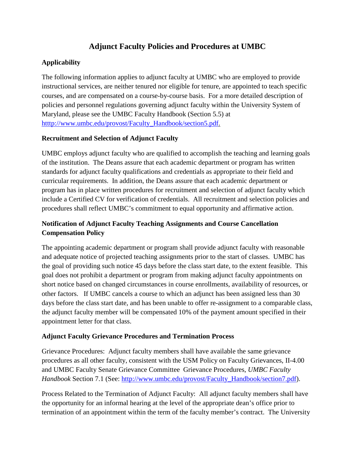# **Adjunct Faculty Policies and Procedures at UMBC**

# **Applicability**

The following information applies to adjunct faculty at UMBC who are employed to provide instructional services, are neither tenured nor eligible for tenure, are appointed to teach specific courses, and are compensated on a course-by-course basis. For a more detailed description of policies and personnel regulations governing adjunct faculty within the University System of Maryland, please see the UMBC Faculty Handbook (Section 5.5) at [htttp://www.umbc.edu/provost/Faculty\\_Handbook/section5.pdf.](http://www.umbc.edu/provost/Faculty_Handbook/section5.pdf)

### **Recruitment and Selection of Adjunct Faculty**

UMBC employs adjunct faculty who are qualified to accomplish the teaching and learning goals of the institution. The Deans assure that each academic department or program has written standards for adjunct faculty qualifications and credentials as appropriate to their field and curricular requirements. In addition, the Deans assure that each academic department or program has in place written procedures for recruitment and selection of adjunct faculty which include a Certified CV for verification of credentials. All recruitment and selection policies and procedures shall reflect UMBC's commitment to equal opportunity and affirmative action.

# **Notification of Adjunct Faculty Teaching Assignments and Course Cancellation Compensation Policy**

The appointing academic department or program shall provide adjunct faculty with reasonable and adequate notice of projected teaching assignments prior to the start of classes. UMBC has the goal of providing such notice 45 days before the class start date, to the extent feasible. This goal does not prohibit a department or program from making adjunct faculty appointments on short notice based on changed circumstances in course enrollments, availability of resources, or other factors. If UMBC cancels a course to which an adjunct has been assigned less than 30 days before the class start date, and has been unable to offer re-assignment to a comparable class, the adjunct faculty member will be compensated 10% of the payment amount specified in their appointment letter for that class.

### **Adjunct Faculty Grievance Procedures and Termination Process**

Grievance Procedures: Adjunct faculty members shall have available the same grievance procedures as all other faculty, consistent with the USM Policy on Faculty Grievances, II-4.00 and UMBC Faculty Senate Grievance Committee Grievance Procedures, *UMBC Faculty Handbook* Section 7.1 (See: [http://www.umbc.edu/provost/Faculty\\_Handbook/section7.pdf\)](http://www.umbc.edu/provost/Faculty_Handbook/section7.pdf).

Process Related to the Termination of Adjunct Faculty: All adjunct faculty members shall have the opportunity for an informal hearing at the level of the appropriate dean's office prior to termination of an appointment within the term of the faculty member's contract. The University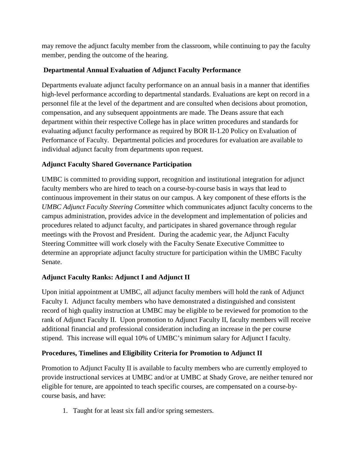may remove the adjunct faculty member from the classroom, while continuing to pay the faculty member, pending the outcome of the hearing.

### **Departmental Annual Evaluation of Adjunct Faculty Performance**

Departments evaluate adjunct faculty performance on an annual basis in a manner that identifies high-level performance according to departmental standards. Evaluations are kept on record in a personnel file at the level of the department and are consulted when decisions about promotion, compensation, and any subsequent appointments are made. The Deans assure that each department within their respective College has in place written procedures and standards for evaluating adjunct faculty performance as required by BOR II-1.20 Policy on Evaluation of Performance of Faculty. Departmental policies and procedures for evaluation are available to individual adjunct faculty from departments upon request.

### **Adjunct Faculty Shared Governance Participation**

UMBC is committed to providing support, recognition and institutional integration for adjunct faculty members who are hired to teach on a course-by-course basis in ways that lead to continuous improvement in their status on our campus. A key component of these efforts is the *UMBC Adjunct Faculty Steering Committee* which communicates adjunct faculty concerns to the campus administration, provides advice in the development and implementation of policies and procedures related to adjunct faculty, and participates in shared governance through regular meetings with the Provost and President. During the academic year, the Adjunct Faculty Steering Committee will work closely with the Faculty Senate Executive Committee to determine an appropriate adjunct faculty structure for participation within the UMBC Faculty Senate.

### **Adjunct Faculty Ranks: Adjunct I and Adjunct II**

Upon initial appointment at UMBC, all adjunct faculty members will hold the rank of Adjunct Faculty I. Adjunct faculty members who have demonstrated a distinguished and consistent record of high quality instruction at UMBC may be eligible to be reviewed for promotion to the rank of Adjunct Faculty II. Upon promotion to Adjunct Faculty II, faculty members will receive additional financial and professional consideration including an increase in the per course stipend. This increase will equal 10% of UMBC's minimum salary for Adjunct I faculty.

### **Procedures, Timelines and Eligibility Criteria for Promotion to Adjunct II**

Promotion to Adjunct Faculty II is available to faculty members who are currently employed to provide instructional services at UMBC and/or at UMBC at Shady Grove, are neither tenured nor eligible for tenure, are appointed to teach specific courses, are compensated on a course-bycourse basis, and have:

1. Taught for at least six fall and/or spring semesters.